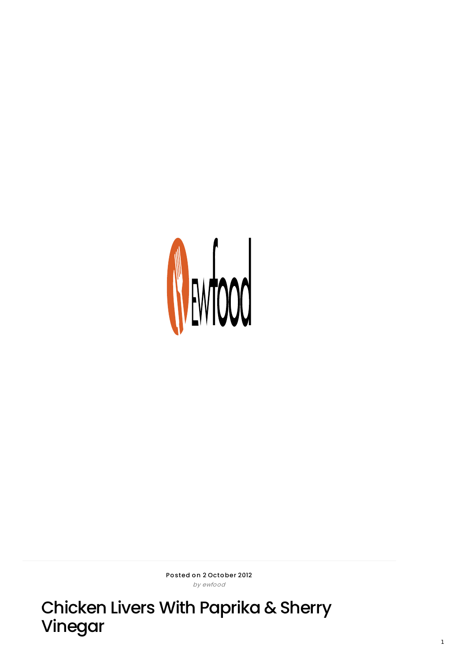

Posted on 2 October 2012 by ewfo o d

Chicken Livers With Paprika & Sherry Vinegar